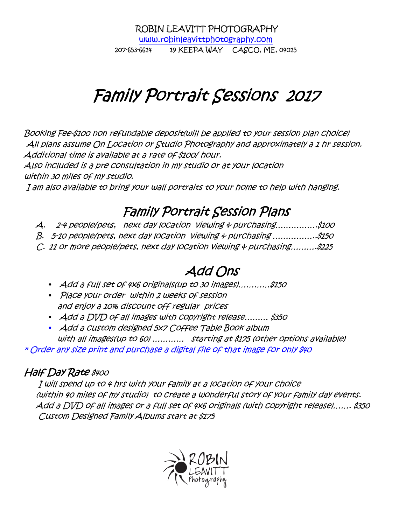*ROBIN LEAVITT PHOTOGRAPHY www.robinleavittphotography.com 207-653-6614 19 KEEPA WAY CASCO, ME, 04015* 

# Family Portrait Sessions 2017

*Booking Fee-\$100 non refundable deposit(will be applied to your session plan choice) All plans assume On Location or Studio Photography and approximately a 1 hr session. Additional time is available at a rate of \$100/ hour.* 

*Also included is a pre consultation in my studio or at your location within 30 miles of my studio.* 

 *I am also available to bring your wall portraits to your home to help with hanging.* 

### *Family Portrait Session Plans Plans*

*A. 2-4 people/pets, next day location viewing & purchasing…………….\$100* 

*B. 5-10 people/pets, next day location viewing & purchasing ……………..\$150* 

*C. 11 or more people/pets, next day location viewing & purchasing……….\$225* 

### *Add Ons*

- *Add a full set of 4x6 originals(up to 30 images)…………\$150*
- *Place your order within 2 weeks of session and enjoy a 10% discount off regular prices*
- *Add a DVD of all images with copyright release……… \$350*
- *Add a custom designed 5x7 Coffee Table Book album with all images(up to 60) ………… starting at \$175 (other options available)*

*\* Order any size print and purchase a digital file of that image for only \$40* 

### *Half Day Rate \$400*

 *I will spend up to 4 hrs with your family at a location of your choice (within 40 miles of my studio) to create a wonderful story of your family day events. Add a DVD of all images or a full set of 4x6 originals (with copyright release)……. \$350 Custom Designed Family Albums start at \$175* 

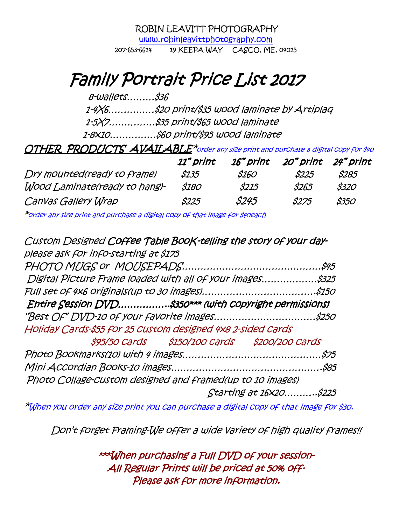*ROBIN LEAVITT PHOTOGRAPHY www.robinleavittphotography.com* 

*207-653-6614 19 KEEPA WAY CASCO, ME, 04015* 

## *Family Portrait Price List Family 201 Family Portrait Price List 2017*

 *8-wallets………\$36* 

 *1-4X6……………\$20 print/\$35 wood laminate by Artiplaq* 

 *1-5X7……………\$35 print/\$65 wood laminate* 

 *1-8x10……………\$60 print/\$95 wood laminate* 

*OTHER PRODUCTS AVAILABLE\*order any size print and purchase a digital copy for \$40*

|                               | 11" print | 16" print | 20" print 24" print |             |
|-------------------------------|-----------|-----------|---------------------|-------------|
| Dry mounted(ready to frame)   | \$135     | \$160     | <i>S225</i>         | <i>S285</i> |
| Wood Laminate(ready to hang)- | \$180     | \$215     | S265                | \$320       |
| Canvas Gallery Wrap           | \$225     | \$245     | <i>S275</i>         | \$350       |

*\*order any size print and purchase a digital copy of that image for \$40each* 

| Custom Designed Coffee Table Book-telling the story of your day- |                                               |                        |
|------------------------------------------------------------------|-----------------------------------------------|------------------------|
| please ask for info-starting at \$175                            |                                               |                        |
|                                                                  |                                               |                        |
| Digital Picture Frame loaded with all of your images\$325        |                                               |                        |
|                                                                  |                                               |                        |
| Entire Session DVD\$350*** (with copyright permissions)          |                                               |                        |
| "Best Of" DVD-10 of your favorite images\$250                    |                                               |                        |
| Holiday Cards-\$55 for 25 Custom designed 4x8 2-sided Cards      |                                               |                        |
|                                                                  | \$95/50 Cards \$150/100 Cards \$200/200 Cards |                        |
|                                                                  |                                               |                        |
|                                                                  |                                               |                        |
| Photo Collage-custom designed and framed(up to 10 images)        |                                               |                        |
|                                                                  |                                               | Starting at 16×20\$225 |
|                                                                  |                                               |                        |

*\*When you order any size print you can purchase a digital copy of that image for \$30.* 

*Don't forget Framing-We offer a wide variety of high quality frames!!* 

*\*\*\*When purchasing a Full DVD of your session- purchasing session-All Regular Prints will be priced at 50% off- Prints be off-Please ask for more information. Please for information. or*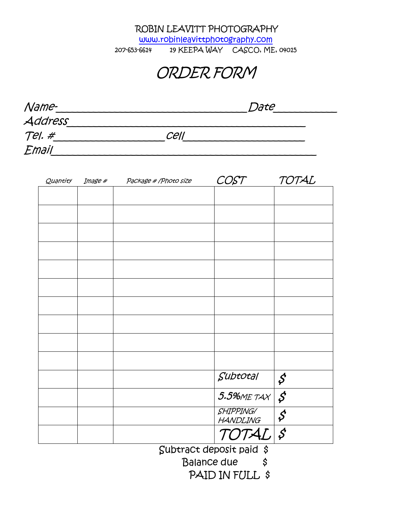*ROBIN LEAVITT PHOTOGRAPHY* 

*www.robinleavittphotography.com* 

*207-653-6614 19 KEEPA WAY CASCO, ME, 04015* 

*ORDER FORM*

| Name-   |      | Date |  |
|---------|------|------|--|
| Address |      |      |  |
| Tel. #  | cell |      |  |
| Email   |      |      |  |

| Quantity | Image # | Package # / Photo size |                          | TOTAL                      |
|----------|---------|------------------------|--------------------------|----------------------------|
|          |         |                        |                          |                            |
|          |         |                        |                          |                            |
|          |         |                        |                          |                            |
|          |         |                        |                          |                            |
|          |         |                        |                          |                            |
|          |         |                        |                          |                            |
|          |         |                        |                          |                            |
|          |         |                        |                          |                            |
|          |         |                        |                          |                            |
|          |         |                        |                          |                            |
|          |         |                        |                          |                            |
|          |         |                        |                          |                            |
|          |         |                        |                          |                            |
|          |         |                        |                          |                            |
|          |         |                        | Subtotal                 |                            |
|          |         |                        |                          | $\boldsymbol{\mathcal{S}}$ |
|          |         |                        | $5.5%$ METAX             | $\boldsymbol{\mathcal{S}}$ |
|          |         |                        | SHIPPING/                |                            |
|          |         |                        | <b>HANDLING</b>          | $\boldsymbol{\mathcal{S}}$ |
|          |         |                        | TOTAL <sup>S</sup>       |                            |
|          |         |                        | Subtract deposit paid \$ |                            |

 *Balance due \$* 

*PAID IN FULL \$*